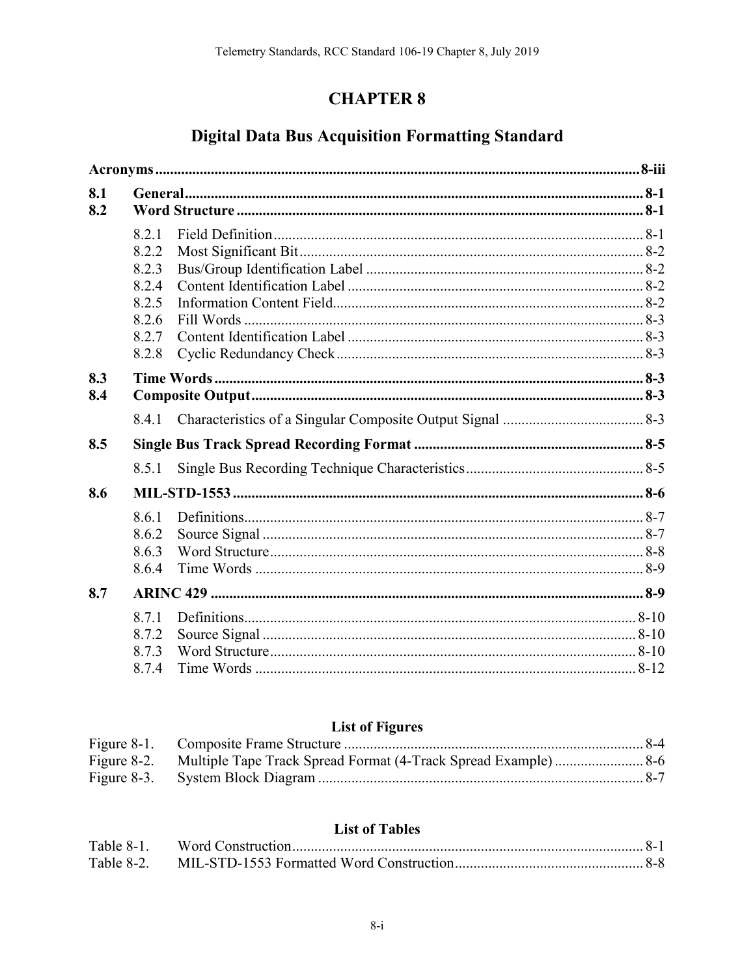# **CHAPTER 8**

# **Digital Data Bus Acquisition Formatting Standard**

| 8.1<br>8.2 |                                                                      |  |
|------------|----------------------------------------------------------------------|--|
|            | 8.2.1<br>8.2.2<br>8.2.3<br>8.2.4<br>8.2.5<br>8.2.6<br>8.2.7<br>8.2.8 |  |
| 8.3<br>8.4 |                                                                      |  |
|            |                                                                      |  |
| 8.5        |                                                                      |  |
|            | 8.5.1                                                                |  |
| 8.6        |                                                                      |  |
|            | 8.6.1<br>8.6.2<br>8.6.3<br>8.6.4                                     |  |
| 8.7        |                                                                      |  |
|            | 8.7.1<br>8.7.2<br>8.7.3<br>8.7.4                                     |  |

# **List of Figures**

| Figure 8-2. Multiple Tape Track Spread Format (4-Track Spread Example)  8-6 |  |
|-----------------------------------------------------------------------------|--|
|                                                                             |  |

# **List of Tables**

| Table 8-1. |  |
|------------|--|
| Table 8-2. |  |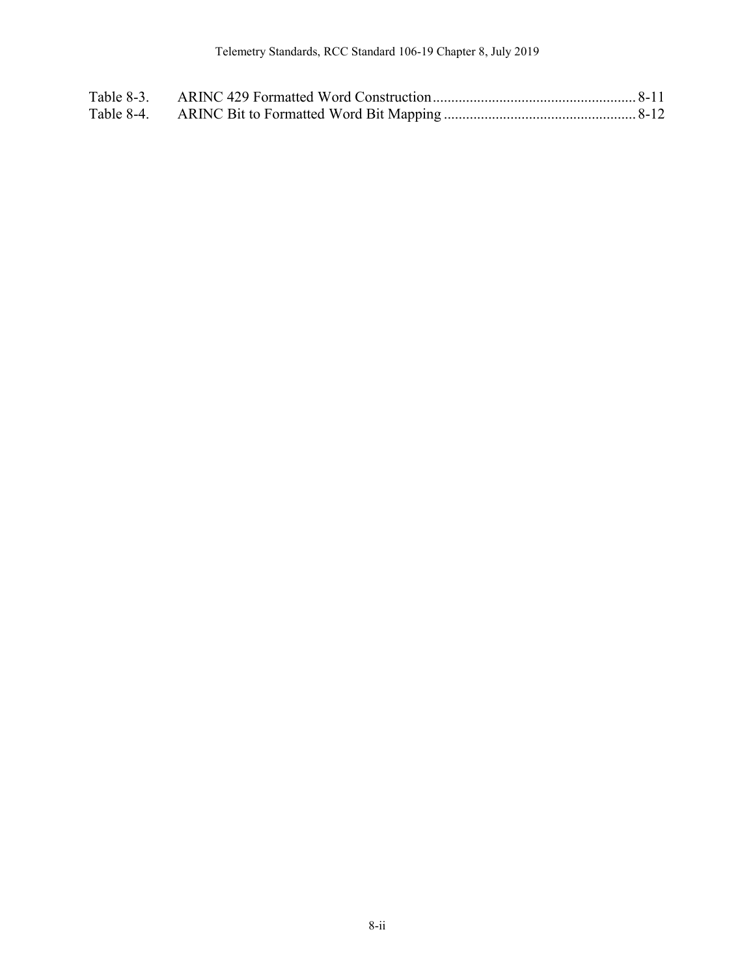| Table 8-3. |  |
|------------|--|
|            |  |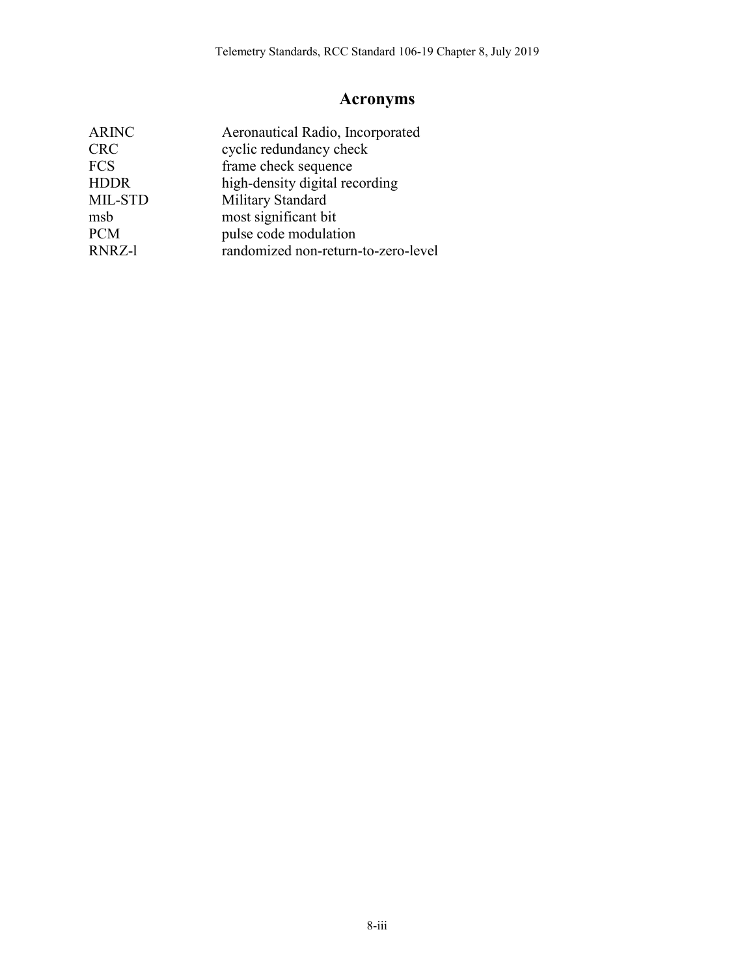# **Acronyms**

<span id="page-2-0"></span>

| Aeronautical Radio, Incorporated    |
|-------------------------------------|
| cyclic redundancy check             |
| frame check sequence                |
| high-density digital recording      |
| Military Standard                   |
| most significant bit                |
| pulse code modulation               |
| randomized non-return-to-zero-level |
|                                     |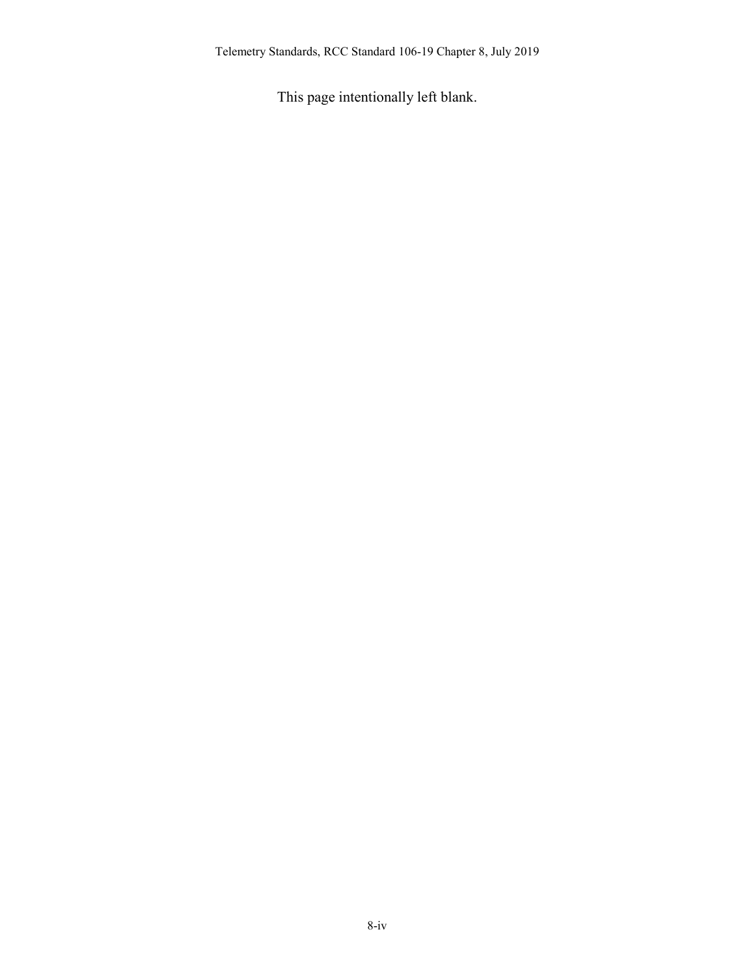This page intentionally left blank.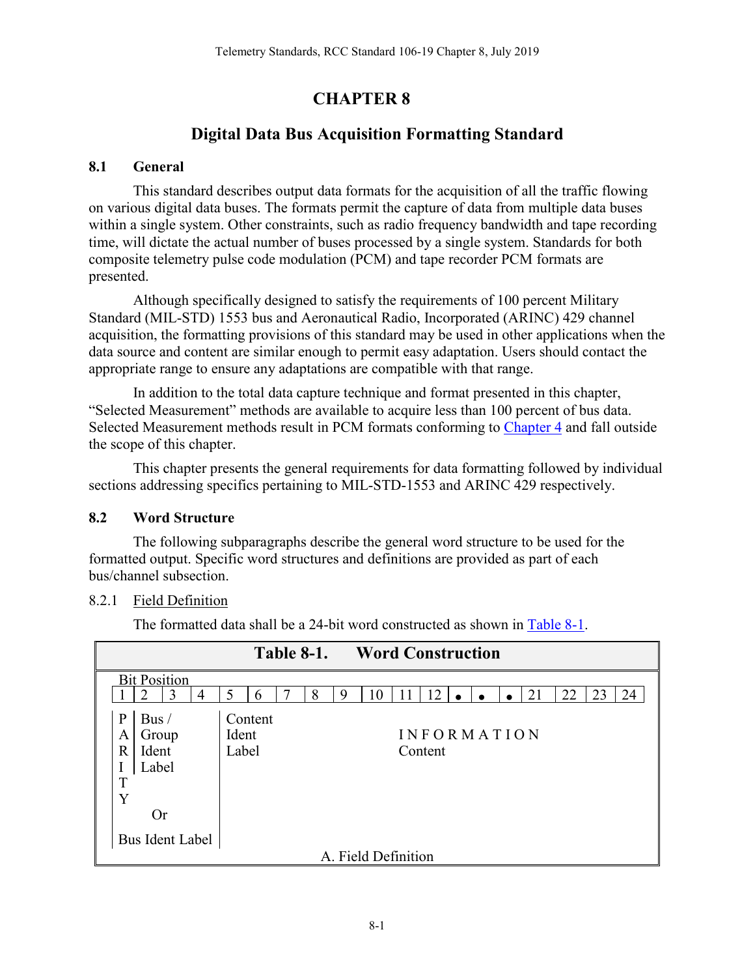# **CHAPTER 8**

# **Digital Data Bus Acquisition Formatting Standard**

## <span id="page-4-0"></span>**8.1 General**

This standard describes output data formats for the acquisition of all the traffic flowing on various digital data buses. The formats permit the capture of data from multiple data buses within a single system. Other constraints, such as radio frequency bandwidth and tape recording time, will dictate the actual number of buses processed by a single system. Standards for both composite telemetry pulse code modulation (PCM) and tape recorder PCM formats are presented.

Although specifically designed to satisfy the requirements of 100 percent Military Standard (MIL-STD) 1553 bus and Aeronautical Radio, Incorporated (ARINC) 429 channel acquisition, the formatting provisions of this standard may be used in other applications when the data source and content are similar enough to permit easy adaptation. Users should contact the appropriate range to ensure any adaptations are compatible with that range.

In addition to the total data capture technique and format presented in this chapter, "Selected Measurement" methods are available to acquire less than 100 percent of bus data. Selected Measurement methods result in PCM formats conforming to [Chapter 4](http://www.wsmr.army.mil/RCCsite/Documents/106-19_Telemetry_Standards/chapter4.pdf) and fall outside the scope of this chapter.

This chapter presents the general requirements for data formatting followed by individual sections addressing specifics pertaining to MIL-STD-1553 and ARINC 429 respectively.

# <span id="page-4-1"></span>**8.2 Word Structure**

The following subparagraphs describe the general word structure to be used for the formatted output. Specific word structures and definitions are provided as part of each bus/channel subsection.

### <span id="page-4-2"></span>8.2.1 Field Definition

The formatted data shall be a 24-bit word constructed as shown in [Table 8-1.](#page-4-3)

<span id="page-4-3"></span>

|                                                                                           | <b>Table 8-1. Word Construction</b>                        |
|-------------------------------------------------------------------------------------------|------------------------------------------------------------|
| <b>Bit Position</b><br>3<br>4                                                             | 22<br>23<br>24<br>21<br>10<br><sub>b</sub>                 |
| $\mathbf{P}$<br>Bus/<br>Group<br>A<br>$\mathbb{R}$<br>Ident<br>Label<br>I<br>T<br>Y<br>Or | Content<br>Ident<br><b>INFORMATION</b><br>Label<br>Content |
| Bus Ident Label                                                                           | A. Field Definition                                        |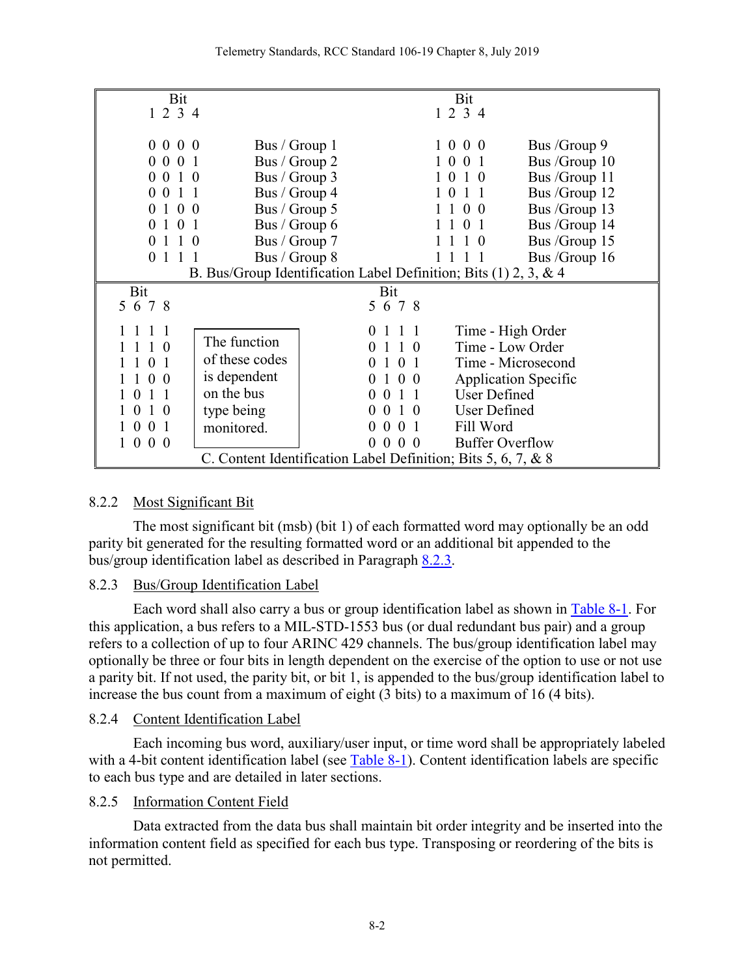| Bit<br>1234                                                                                                                              |                                                                                                                                                                                                          | Bit<br>1 2 3 4                                                                                                                                                                                                       |                                                                                                                                                                    |
|------------------------------------------------------------------------------------------------------------------------------------------|----------------------------------------------------------------------------------------------------------------------------------------------------------------------------------------------------------|----------------------------------------------------------------------------------------------------------------------------------------------------------------------------------------------------------------------|--------------------------------------------------------------------------------------------------------------------------------------------------------------------|
| 0000<br>$0\,0\,0$<br>0 <sub>0</sub><br>$\theta$<br>$\Omega$<br>0 1<br>0 <sub>0</sub><br>$\Omega$<br>$\theta$<br>0<br>$\theta$<br>$\vert$ | Bus / Group 1<br>Bus / Group 2<br>Bus / Group 3<br>Bus / Group 4<br>Bus / Group 5<br>Bus / Group 6<br>Bus / Group 7<br>Bus / Group 8<br>B. Bus/Group Identification Label Definition; Bits (1) 2, 3, & 4 | 1000<br>$\Omega$<br>$\theta$<br>1 1 0 0                                                                                                                                                                              | Bus /Group 9<br>Bus /Group 10<br>Bus /Group 11<br>Bus /Group 12<br>Bus /Group 13<br>Bus /Group 14<br>Bus /Group 15<br>Bus /Group 16                                |
| Bit<br>5 6 7 8                                                                                                                           |                                                                                                                                                                                                          | Bit<br>5 6 7 8                                                                                                                                                                                                       |                                                                                                                                                                    |
| $\Omega$<br>$\Omega$<br>$\Omega$<br>$\theta$<br>$\vert$<br>$\theta$<br>$\theta$<br>$\theta$<br>$0\,0$<br>$\overline{0}$                  | The function<br>of these codes<br>is dependent<br>on the bus<br>type being<br>monitored.<br>C. Content Identification Label Definition; Bits 5, 6, 7, & 8                                                | $\overline{1}$<br>0 <sub>1</sub><br>0<br>$\Omega$<br>$\overline{1}$<br>0 <sub>0</sub><br>$\theta$<br>$\Omega$<br>$\overline{0}$<br>$\theta$<br>Fill Word<br>$\Omega$<br>$\Omega$<br>$\theta$<br>$\theta$<br>$\theta$ | Time - High Order<br>Time - Low Order<br>Time - Microsecond<br><b>Application Specific</b><br><b>User Defined</b><br><b>User Defined</b><br><b>Buffer Overflow</b> |

#### <span id="page-5-0"></span>8.2.2 Most Significant Bit

The most significant bit (msb) (bit 1) of each formatted word may optionally be an odd parity bit generated for the resulting formatted word or an additional bit appended to the bus/group identification label as described in Paragraph [8.2.3.](#page-5-1)

#### <span id="page-5-1"></span>8.2.3 Bus/Group Identification Label

Each word shall also carry a bus or group identification label as shown in [Table 8-1.](#page-4-3) For this application, a bus refers to a MIL-STD-1553 bus (or dual redundant bus pair) and a group refers to a collection of up to four ARINC 429 channels. The bus/group identification label may optionally be three or four bits in length dependent on the exercise of the option to use or not use a parity bit. If not used, the parity bit, or bit 1, is appended to the bus/group identification label to increase the bus count from a maximum of eight (3 bits) to a maximum of 16 (4 bits).

#### <span id="page-5-2"></span>8.2.4 Content Identification Label

Each incoming bus word, auxiliary/user input, or time word shall be appropriately labeled with a 4-bit content identification label (see [Table 8-1\)](#page-4-3). Content identification labels are specific to each bus type and are detailed in later sections.

#### <span id="page-5-3"></span>8.2.5 Information Content Field

Data extracted from the data bus shall maintain bit order integrity and be inserted into the information content field as specified for each bus type. Transposing or reordering of the bits is not permitted.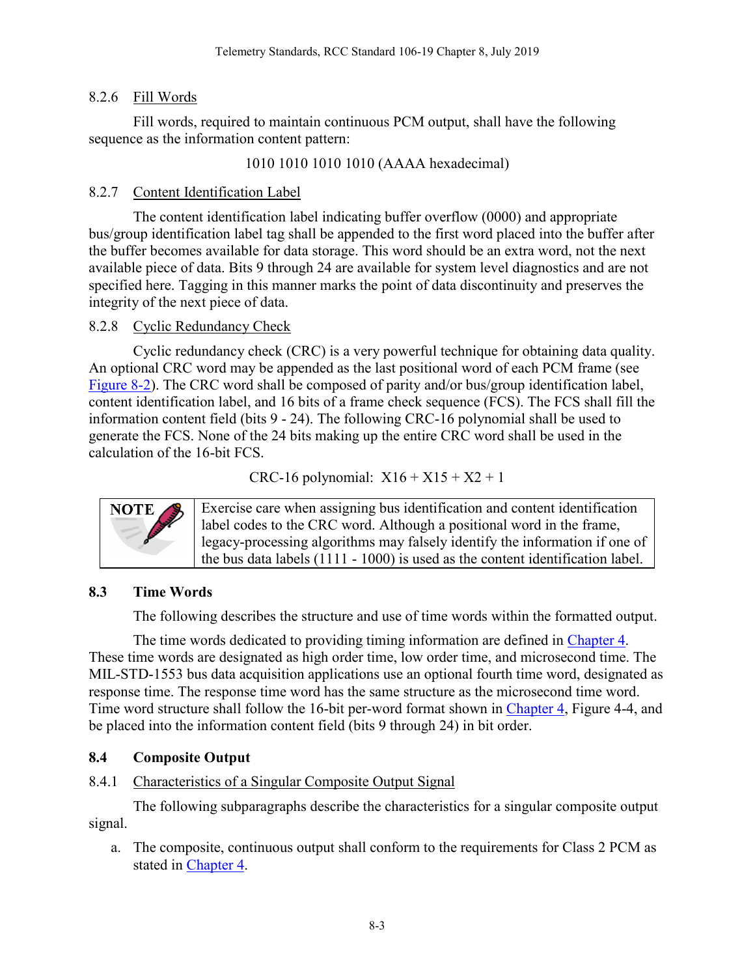# <span id="page-6-0"></span>8.2.6 Fill Words

Fill words, required to maintain continuous PCM output, shall have the following sequence as the information content pattern:

## 1010 1010 1010 1010 (AAAA hexadecimal)

# <span id="page-6-1"></span>8.2.7 Content Identification Label

The content identification label indicating buffer overflow (0000) and appropriate bus/group identification label tag shall be appended to the first word placed into the buffer after the buffer becomes available for data storage. This word should be an extra word, not the next available piece of data. Bits 9 through 24 are available for system level diagnostics and are not specified here. Tagging in this manner marks the point of data discontinuity and preserves the integrity of the next piece of data.

# <span id="page-6-2"></span>8.2.8 Cyclic Redundancy Check

Cyclic redundancy check (CRC) is a very powerful technique for obtaining data quality. An optional CRC word may be appended as the last positional word of each PCM frame (see [Figure 8-2\)](#page-9-1). The CRC word shall be composed of parity and/or bus/group identification label, content identification label, and 16 bits of a frame check sequence (FCS). The FCS shall fill the information content field (bits 9 - 24). The following CRC-16 polynomial shall be used to generate the FCS. None of the 24 bits making up the entire CRC word shall be used in the calculation of the 16-bit FCS.

CRC-16 polynomial:  $X16 + X15 + X2 + 1$ 



Exercise care when assigning bus identification and content identification label codes to the CRC word. Although a positional word in the frame, legacy-processing algorithms may falsely identify the information if one of the bus data labels (1111 - 1000) is used as the content identification label.

# <span id="page-6-3"></span>**8.3 Time Words**

The following describes the structure and use of time words within the formatted output.

The time words dedicated to providing timing information are defined in [Chapter 4.](http://www.wsmr.army.mil/RCCsite/Documents/106-19_Telemetry_Standards/chapter4.pdf) These time words are designated as high order time, low order time, and microsecond time. The MIL-STD-1553 bus data acquisition applications use an optional fourth time word, designated as response time. The response time word has the same structure as the microsecond time word. Time word structure shall follow the 16-bit per-word format shown in [Chapter 4,](http://www.wsmr.army.mil/RCCsite/Documents/106-19_Telemetry_Standards/chapter4.pdf) Figure 4-4, and be placed into the information content field (bits 9 through 24) in bit order.

# <span id="page-6-4"></span>**8.4 Composite Output**

# <span id="page-6-5"></span>8.4.1 Characteristics of a Singular Composite Output Signal

The following subparagraphs describe the characteristics for a singular composite output signal.

a. The composite, continuous output shall conform to the requirements for Class 2 PCM as stated in [Chapter 4.](http://www.wsmr.army.mil/RCCsite/Documents/106-19_Telemetry_Standards/chapter4.pdf)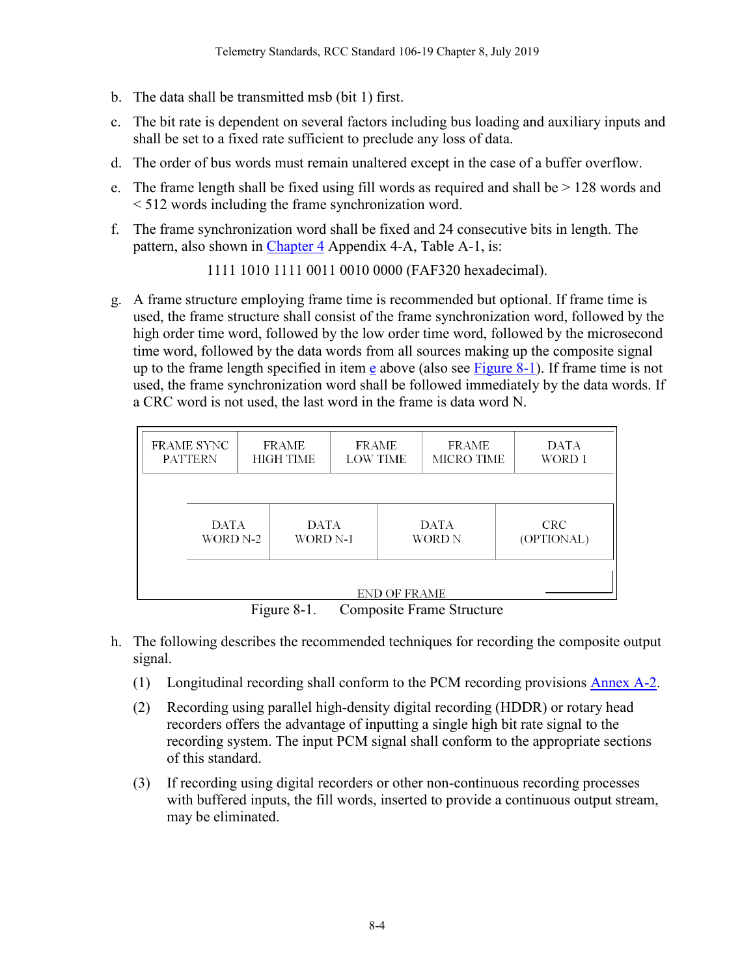- b. The data shall be transmitted msb (bit 1) first.
- c. The bit rate is dependent on several factors including bus loading and auxiliary inputs and shall be set to a fixed rate sufficient to preclude any loss of data.
- d. The order of bus words must remain unaltered except in the case of a buffer overflow.
- <span id="page-7-1"></span>e. The frame length shall be fixed using fill words as required and shall be  $> 128$  words and < 512 words including the frame synchronization word.
- <span id="page-7-2"></span>f. The frame synchronization word shall be fixed and 24 consecutive bits in length. The pattern, also shown in [Chapter 4](http://www.wsmr.army.mil/RCCsite/Documents/106-19_Telemetry_Standards/chapter4.pdf) Appendix 4-A, Table A-1, is:

1111 1010 1111 0011 0010 0000 (FAF320 hexadecimal).

g. A frame structure employing frame time is recommended but optional. If frame time is used, the frame structure shall consist of the frame synchronization word, followed by the high order time word, followed by the low order time word, followed by the microsecond time word, followed by the data words from all sources making up the composite signal up to the frame length specified in item [e](#page-7-1) above (also see [Figure 8-1\)](#page-7-0). If frame time is not used, the frame synchronization word shall be followed immediately by the data words. If a CRC word is not used, the last word in the frame is data word N.



Figure 8-1. Composite Frame Structure

- <span id="page-7-0"></span>h. The following describes the recommended techniques for recording the composite output signal.
	- (1) Longitudinal recording shall conform to the PCM recording provisions [Annex A-2.](http://www.wsmr.army.mil/RCCsite/Documents/106-19_Telemetry_Standards/annexa-2.pdf)
	- (2) Recording using parallel high-density digital recording (HDDR) or rotary head recorders offers the advantage of inputting a single high bit rate signal to the recording system. The input PCM signal shall conform to the appropriate sections of this standard.
	- (3) If recording using digital recorders or other non-continuous recording processes with buffered inputs, the fill words, inserted to provide a continuous output stream, may be eliminated.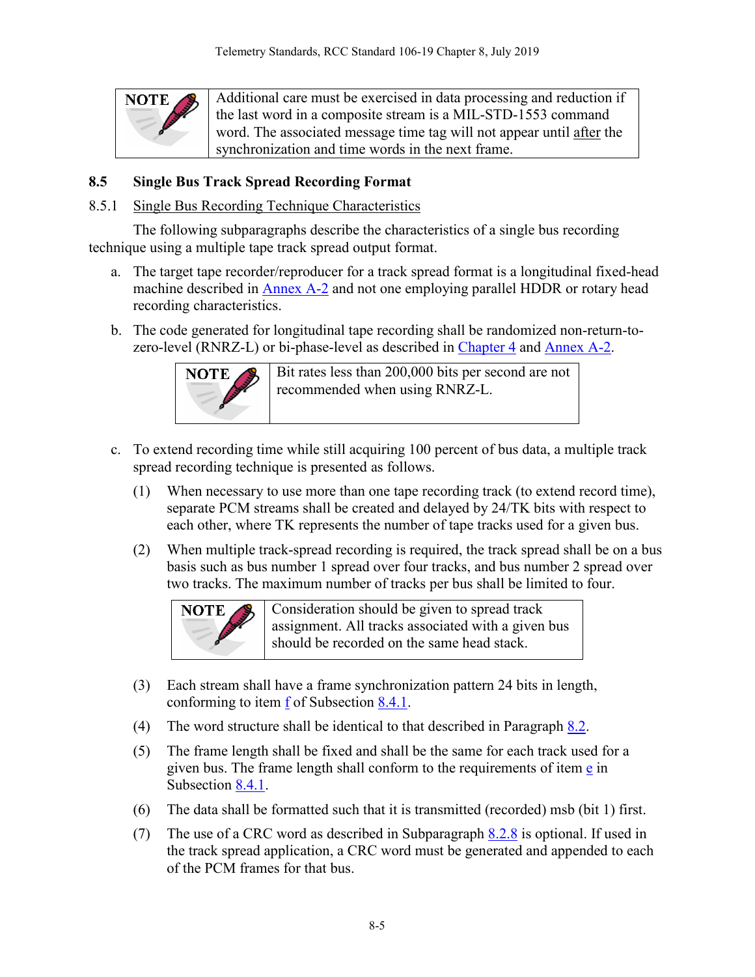

#### <span id="page-8-0"></span>**8.5 Single Bus Track Spread Recording Format**

<span id="page-8-1"></span>8.5.1 Single Bus Recording Technique Characteristics

The following subparagraphs describe the characteristics of a single bus recording technique using a multiple tape track spread output format.

- a. The target tape recorder/reproducer for a track spread format is a longitudinal fixed-head machine described in [Annex A-2](http://www.wsmr.army.mil/RCCsite/Documents/106-19_Telemetry_Standards/annexa-2.pdf) and not one employing parallel HDDR or rotary head recording characteristics.
- b. The code generated for longitudinal tape recording shall be randomized non-return-to-zero-level (RNRZ-L) or bi-phase-level as described in [Chapter 4](http://www.wsmr.army.mil/RCCsite/Documents/106-19_Telemetry_Standards/chapter4.pdf) and [Annex A-2.](http://www.wsmr.army.mil/RCCsite/Documents/106-19_Telemetry_Standards/annexa-2.pdf)



Bit rates less than 200,000 bits per second are not recommended when using RNRZ-L.

- c. To extend recording time while still acquiring 100 percent of bus data, a multiple track spread recording technique is presented as follows.
	- (1) When necessary to use more than one tape recording track (to extend record time), separate PCM streams shall be created and delayed by 24/TK bits with respect to each other, where TK represents the number of tape tracks used for a given bus.
	- (2) When multiple track-spread recording is required, the track spread shall be on a bus basis such as bus number 1 spread over four tracks, and bus number 2 spread over two tracks. The maximum number of tracks per bus shall be limited to four.



- (3) Each stream shall have a frame synchronization pattern 24 bits in length, conforming to item [f](#page-7-2) of Subsection [8.4.1.](#page-6-5)
- (4) The word structure shall be identical to that described in Paragraph [8.2.](#page-4-1)
- (5) The frame length shall be fixed and shall be the same for each track used for a given bus. The frame length shall conform to the requirements of item [e](#page-7-1) in Subsection [8.4.1.](#page-6-5)
- (6) The data shall be formatted such that it is transmitted (recorded) msb (bit 1) first.
- (7) The use of a CRC word as described in Subparagraph  $8.2.8$  is optional. If used in the track spread application, a CRC word must be generated and appended to each of the PCM frames for that bus.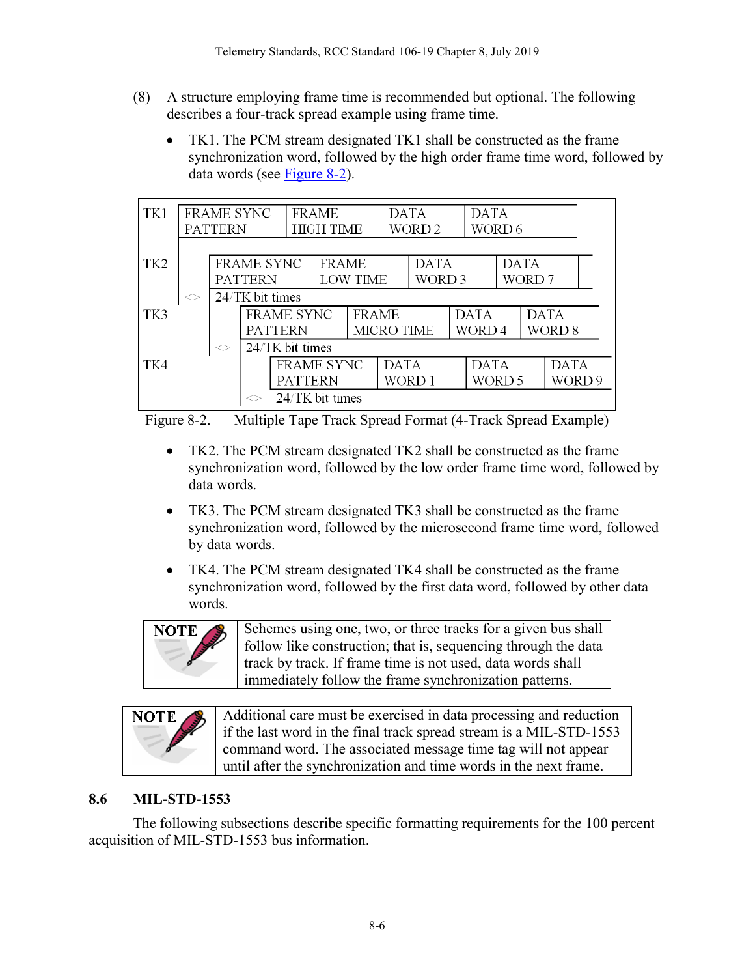- (8) A structure employing frame time is recommended but optional. The following describes a four-track spread example using frame time.
	- TK1. The PCM stream designated TK1 shall be constructed as the frame synchronization word, followed by the high order frame time word, followed by data words (see  $Figure 8-2$ ).

| TK1             | <b>FRAME SYNC</b><br><b>PATTERN</b> |                                     |                   | <b>FRAME</b><br><b>HIGH TIME</b> |                                 | <b>DATA</b><br>WORD <sub>2</sub> |                                  |  | <b>DATA</b><br>WORD 6 |             |  |             |        |
|-----------------|-------------------------------------|-------------------------------------|-------------------|----------------------------------|---------------------------------|----------------------------------|----------------------------------|--|-----------------------|-------------|--|-------------|--------|
| TK <sub>2</sub> |                                     | <b>FRAME SYNC</b><br><b>PATTERN</b> |                   |                                  | <b>FRAME</b><br><b>LOW TIME</b> |                                  | <b>DATA</b><br>WORD <sub>3</sub> |  | <b>DATA</b><br>WORD 7 |             |  |             |        |
|                 |                                     | 24/TK bit times                     |                   |                                  |                                 |                                  |                                  |  |                       |             |  |             |        |
| TK3             |                                     |                                     | <b>FRAME SYNC</b> | <b>FRAME</b>                     |                                 |                                  |                                  |  | <b>DATA</b>           |             |  | <b>DATA</b> |        |
|                 |                                     |                                     | <b>PATTERN</b>    |                                  |                                 | <b>MICRO TIME</b><br>WORD 4      |                                  |  | WORD <sub>8</sub>     |             |  |             |        |
|                 |                                     | 24/TK bit times                     |                   |                                  |                                 |                                  |                                  |  |                       |             |  |             |        |
| TK4             |                                     |                                     |                   | <b>FRAME SYNC</b>                |                                 | <b>DATA</b>                      |                                  |  |                       | <b>DATA</b> |  | <b>DATA</b> |        |
|                 |                                     |                                     |                   | <b>PATTERN</b>                   |                                 | WORD 1                           |                                  |  | WORD 5                |             |  |             | WORD 9 |
|                 |                                     |                                     | 24/TK bit times   |                                  |                                 |                                  |                                  |  |                       |             |  |             |        |

<span id="page-9-1"></span>

- TK2. The PCM stream designated TK2 shall be constructed as the frame synchronization word, followed by the low order frame time word, followed by data words.
- TK3. The PCM stream designated TK3 shall be constructed as the frame synchronization word, followed by the microsecond frame time word, followed by data words.
- TK4. The PCM stream designated TK4 shall be constructed as the frame synchronization word, followed by the first data word, followed by other data words.



Schemes using one, two, or three tracks for a given bus shall follow like construction; that is, sequencing through the data track by track. If frame time is not used, data words shall immediately follow the frame synchronization patterns.

Additional care must be exercised in data processing and reduction if the last word in the final track spread stream is a MIL-STD-1553 command word. The associated message time tag will not appear until after the synchronization and time words in the next frame.

# <span id="page-9-0"></span>**8.6 MIL-STD-1553**

**NOTE** 

The following subsections describe specific formatting requirements for the 100 percent acquisition of MIL-STD-1553 bus information.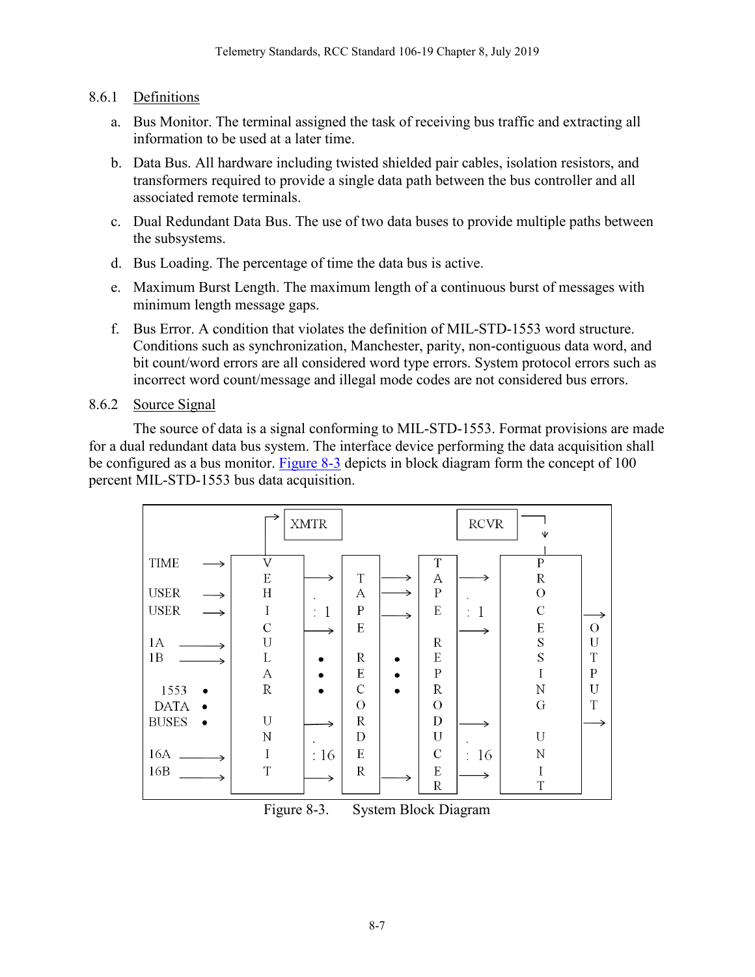#### <span id="page-10-0"></span>8.6.1 Definitions

- a. Bus Monitor. The terminal assigned the task of receiving bus traffic and extracting all information to be used at a later time.
- b. Data Bus. All hardware including twisted shielded pair cables, isolation resistors, and transformers required to provide a single data path between the bus controller and all associated remote terminals.
- c. Dual Redundant Data Bus. The use of two data buses to provide multiple paths between the subsystems.
- d. Bus Loading. The percentage of time the data bus is active.
- e. Maximum Burst Length. The maximum length of a continuous burst of messages with minimum length message gaps.
- <span id="page-10-3"></span>f. Bus Error. A condition that violates the definition of MIL-STD-1553 word structure. Conditions such as synchronization, Manchester, parity, non-contiguous data word, and bit count/word errors are all considered word type errors. System protocol errors such as incorrect word count/message and illegal mode codes are not considered bus errors.

#### <span id="page-10-1"></span>8.6.2 Source Signal

The source of data is a signal conforming to MIL-STD-1553. Format provisions are made for a dual redundant data bus system. The interface device performing the data acquisition shall be configured as a bus monitor. [Figure 8-3](#page-10-2) depicts in block diagram form the concept of 100 percent MIL-STD-1553 bus data acquisition.

|              |                         | <b>XMTR</b>    |               |   |                | <b>RCVR</b>     | Ψ              |           |
|--------------|-------------------------|----------------|---------------|---|----------------|-----------------|----------------|-----------|
| <b>TIME</b>  | $\mathbf V$             |                |               |   | T              |                 | ${\bf P}$      |           |
|              | ${\bf E}$               |                | T             |   | А              |                 | ${\bf R}$      |           |
| <b>USER</b>  | H                       |                | A             | → | $\mathbf P$    |                 | $\overline{O}$ |           |
| <b>USER</b>  | I                       | 1<br>$\bullet$ | ${\bf P}$     |   | E              |                 | $\mathbf C$    |           |
|              | $\mathcal{C}$           |                | E             |   |                |                 | $\mathbf E$    | O         |
| 1A           | $\overline{U}$          |                |               |   | $\mathbb{R}$   |                 | S              | U         |
| 1B           | L                       |                | $\mathbb{R}$  |   | ${\bf E}$      |                 | S              | T         |
|              | $\mathbf{A}$            |                | E             |   | ${\bf P}$      |                 | I              | ${\bf P}$ |
| 1553         | $\mathbf R$             |                | $\mathcal{C}$ |   | $\mathbb{R}$   |                 | $\mathbf N$    | U         |
| <b>DATA</b>  |                         |                | $\mathcal{O}$ |   | $\overline{O}$ |                 | G              | T         |
| <b>BUSES</b> | U                       |                | $\mathbf R$   |   | D              |                 |                |           |
|              | $\ensuremath{\text{N}}$ |                | D             |   | U              |                 | $\mathbf U$    |           |
| 16A          | I                       | :16            | E             |   | $\mathbf C$    | 16<br>$\bullet$ | $\mathbf N$    |           |
| 16B          | T                       | →              | $\mathbf R$   |   | ${\bf E}$      |                 | Ι              |           |
|              |                         |                |               |   | ${\bf R}$      |                 | $\mathbf T$    |           |

<span id="page-10-2"></span>Figure 8-3. System Block Diagram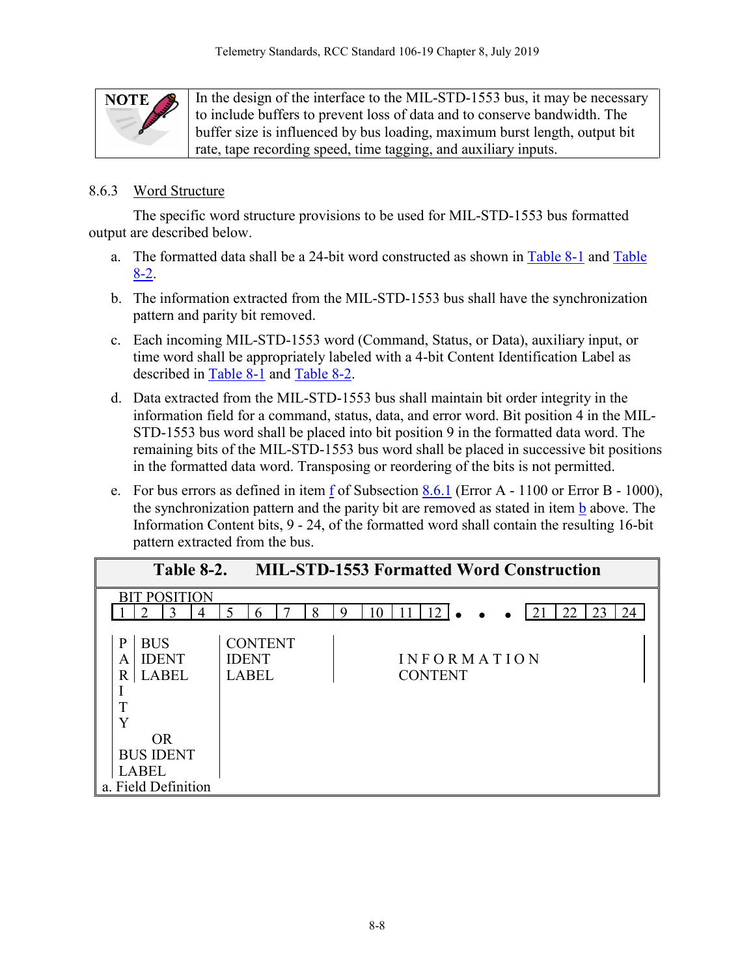

In the design of the interface to the MIL-STD-1553 bus, it may be necessary to include buffers to prevent loss of data and to conserve bandwidth. The buffer size is influenced by bus loading, maximum burst length, output bit rate, tape recording speed, time tagging, and auxiliary inputs.

## <span id="page-11-0"></span>8.6.3 Word Structure

The specific word structure provisions to be used for MIL-STD-1553 bus formatted output are described below.

- a. The formatted data shall be a 24-bit word constructed as shown in [Table 8-1](#page-4-3) and Table [8-2.](#page-11-1)
- <span id="page-11-2"></span>b. The information extracted from the MIL-STD-1553 bus shall have the synchronization pattern and parity bit removed.
- c. Each incoming MIL-STD-1553 word (Command, Status, or Data), auxiliary input, or time word shall be appropriately labeled with a 4-bit Content Identification Label as described in [Table 8-1](#page-4-3) and [Table 8-2.](#page-11-1)
- d. Data extracted from the MIL-STD-1553 bus shall maintain bit order integrity in the information field for a command, status, data, and error word. Bit position 4 in the MIL-STD-1553 bus word shall be placed into bit position 9 in the formatted data word. The remaining bits of the MIL-STD-1553 bus word shall be placed in successive bit positions in the formatted data word. Transposing or reordering of the bits is not permitted.
- e. For bus errors as defined in item [f](#page-10-3) of Subsection [8.6.1](#page-10-0) (Error A 1100 or Error B 1000), the synchronization pattern and the parity [b](#page-11-2)it are removed as stated in item  $\frac{b}{c}$  above. The Information Content bits, 9 - 24, of the formatted word shall contain the resulting 16-bit pattern extracted from the bus.

<span id="page-11-1"></span>

| Table 8-2.                                                                                                                                             | <b>MIL-STD-1553 Formatted Word Construction</b>                                        |
|--------------------------------------------------------------------------------------------------------------------------------------------------------|----------------------------------------------------------------------------------------|
| <b>BIT POSITION</b>                                                                                                                                    | 12<br>22<br>23<br>24                                                                   |
| <b>BUS</b><br>$\mathbf{P}$<br><b>IDENT</b><br>A<br><b>LABEL</b><br>R<br>T<br>Y<br><b>OR</b><br><b>BUS IDENT</b><br><b>LABEL</b><br>a. Field Definition | <b>CONTENT</b><br><b>IDENT</b><br><b>INFORMATION</b><br><b>LABEL</b><br><b>CONTENT</b> |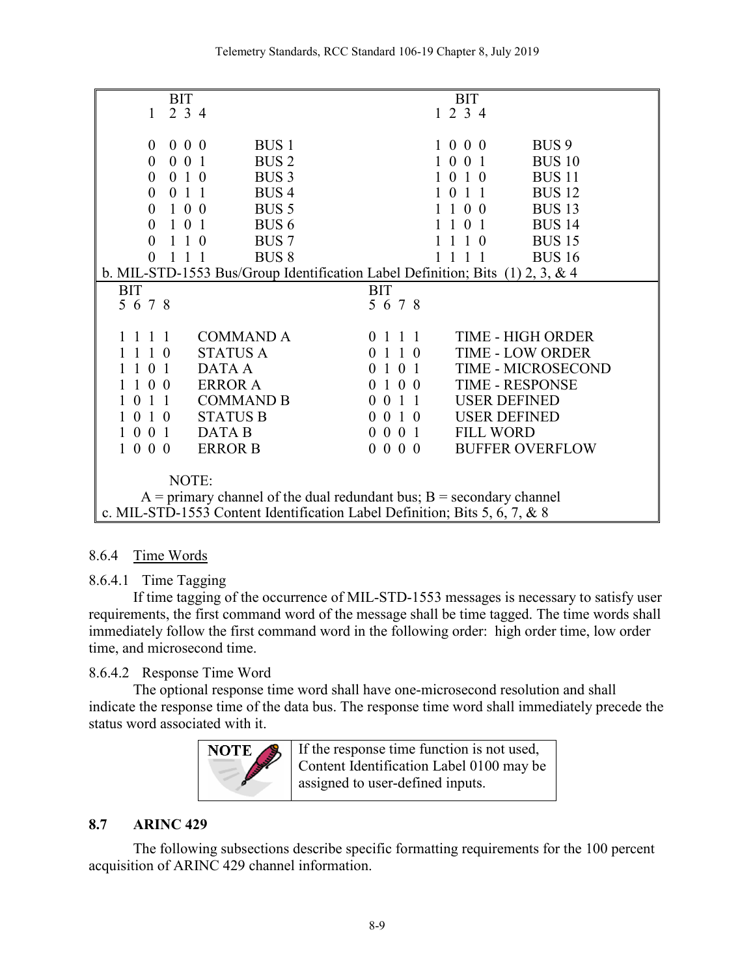| <b>BIT</b><br>2 3 4<br>$\mathbf{1}$                                                                                                                                                                                                                                                                                                                                                                                              | <b>BIT</b><br>1234                                                                                                                                                                                                                                                                                                       |  |  |  |  |  |  |
|----------------------------------------------------------------------------------------------------------------------------------------------------------------------------------------------------------------------------------------------------------------------------------------------------------------------------------------------------------------------------------------------------------------------------------|--------------------------------------------------------------------------------------------------------------------------------------------------------------------------------------------------------------------------------------------------------------------------------------------------------------------------|--|--|--|--|--|--|
| <b>BUS1</b><br>$0\;\;0\;\;0$<br>$\boldsymbol{0}$<br><b>BUS2</b><br>$\boldsymbol{0}$<br>$0\;\;0\;\;1$<br>BUS <sub>3</sub><br>$\boldsymbol{0}$<br>010<br>$\boldsymbol{0}$<br>BUS <sub>4</sub><br>$0 \; 1 \; 1$<br>$\boldsymbol{0}$<br>$1\ 0\ 0$<br>BUS <sub>5</sub><br>$\overline{0}$<br>BUS <sub>6</sub><br>$1 \t0 \t1$<br>$\theta$<br><b>BUS7</b><br>$\mathbf{1}$<br>$1\quad0$<br>$\overline{0}$<br><b>BUS 8</b><br>$\mathbf{1}$ | BUS <sub>9</sub><br>1000<br><b>BUS 10</b><br>1 0 0 1<br><b>BUS 11</b><br>$1\;0\;1\;0$<br>1 0 1 1<br><b>BUS 12</b><br>1100<br><b>BUS 13</b><br><b>BUS 14</b><br>$1 \t0 \t1$<br><b>BUS 15</b><br>$\theta$<br>$1\quad1$<br><b>BUS 16</b><br>b. MIL-STD-1553 Bus/Group Identification Label Definition; Bits $(1)$ 2, 3, & 4 |  |  |  |  |  |  |
| <b>BIT</b><br>5 6 7 8                                                                                                                                                                                                                                                                                                                                                                                                            | <b>BIT</b><br>5 6 7 8                                                                                                                                                                                                                                                                                                    |  |  |  |  |  |  |
| <b>COMMAND A</b><br>111<br><b>STATUS A</b><br>1 1 0<br>$1 \t0 \t1$<br>DATA A<br>1 1 0 0<br><b>ERROR A</b><br>1 0 1 1<br><b>COMMAND B</b><br>1 0 1 0<br><b>STATUS B</b><br>1 0 0 1<br>DATA B<br>1 0 0 0<br><b>ERROR B</b>                                                                                                                                                                                                         | 0111<br><b>TIME - HIGH ORDER</b><br><b>TIME - LOW ORDER</b><br>0110<br>0 1 0 1<br>TIME - MICROSECOND<br>0100<br><b>TIME - RESPONSE</b><br>$0 \t0 \t1 \t1$<br><b>USER DEFINED</b><br>0 0 1 0<br><b>USER DEFINED</b><br>0 0 0 1<br><b>FILL WORD</b><br>$0\; 0\; 0\; 0$<br><b>BUFFER OVERFLOW</b>                           |  |  |  |  |  |  |
| NOTE:<br>$A =$ primary channel of the dual redundant bus; $B =$ secondary channel<br>c. MIL-STD-1553 Content Identification Label Definition; Bits 5, 6, 7, & 8                                                                                                                                                                                                                                                                  |                                                                                                                                                                                                                                                                                                                          |  |  |  |  |  |  |

### <span id="page-12-0"></span>8.6.4 Time Words

### 8.6.4.1 Time Tagging

If time tagging of the occurrence of MIL-STD-1553 messages is necessary to satisfy user requirements, the first command word of the message shall be time tagged. The time words shall immediately follow the first command word in the following order: high order time, low order time, and microsecond time.

### 8.6.4.2 Response Time Word

The optional response time word shall have one-microsecond resolution and shall indicate the response time of the data bus. The response time word shall immediately precede the status word associated with it.



### <span id="page-12-1"></span>**8.7 ARINC 429**

The following subsections describe specific formatting requirements for the 100 percent acquisition of ARINC 429 channel information.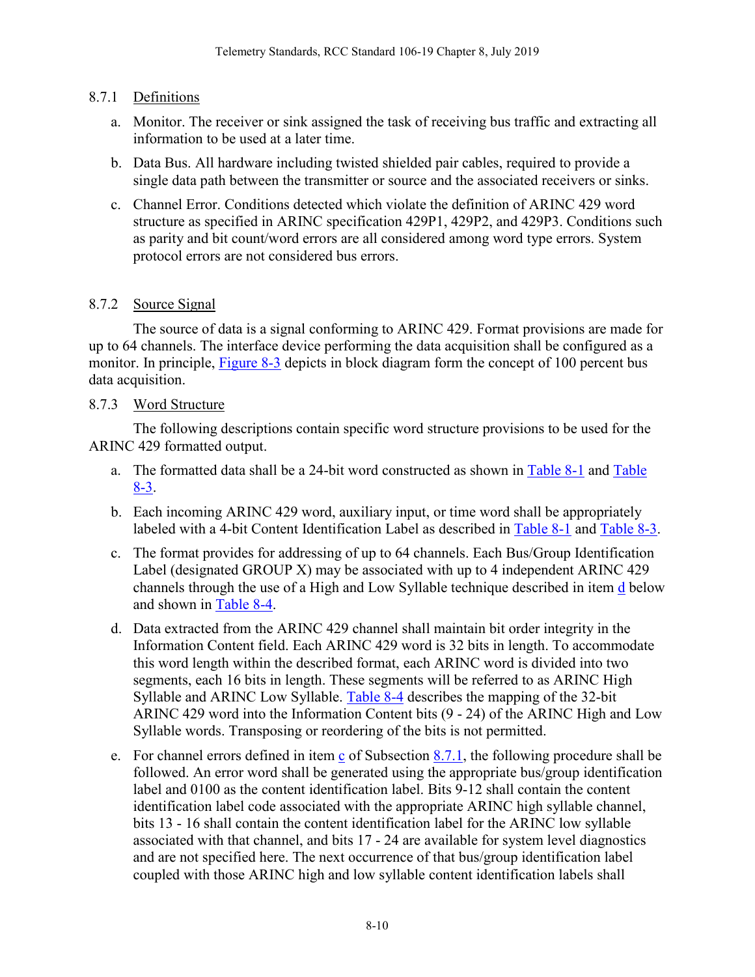## <span id="page-13-0"></span>8.7.1 Definitions

- a. Monitor. The receiver or sink assigned the task of receiving bus traffic and extracting all information to be used at a later time.
- b. Data Bus. All hardware including twisted shielded pair cables, required to provide a single data path between the transmitter or source and the associated receivers or sinks.
- <span id="page-13-4"></span>c. Channel Error. Conditions detected which violate the definition of ARINC 429 word structure as specified in ARINC specification 429P1, 429P2, and 429P3. Conditions such as parity and bit count/word errors are all considered among word type errors. System protocol errors are not considered bus errors.

# <span id="page-13-1"></span>8.7.2 Source Signal

The source of data is a signal conforming to ARINC 429. Format provisions are made for up to 64 channels. The interface device performing the data acquisition shall be configured as a monitor. In principle, [Figure 8-3](#page-10-2) depicts in block diagram form the concept of 100 percent bus data acquisition.

# <span id="page-13-2"></span>8.7.3 Word Structure

The following descriptions contain specific word structure provisions to be used for the ARINC 429 formatted output.

- a. The formatted data shall be a 24-bit word constructed as shown in [Table 8-1](#page-4-3) and [Table](#page-14-0)  [8-3.](#page-14-0)
- b. Each incoming ARINC 429 word, auxiliary input, or time word shall be appropriately labeled with a 4-bit Content Identification Label as described in [Table 8-1](#page-4-3) and [Table 8-3.](#page-14-0)
- c. The format provides for addressing of up to 64 channels. Each Bus/Group Identification Label (designated GROUP X) may be associated with up to 4 independent ARINC 429 channels through the use of a High and Low Syllable technique [d](#page-13-3)escribed in item  $\frac{d}{d}$  below and shown in [Table 8-4.](#page-15-1)
- <span id="page-13-3"></span>d. Data extracted from the ARINC 429 channel shall maintain bit order integrity in the Information Content field. Each ARINC 429 word is 32 bits in length. To accommodate this word length within the described format, each ARINC word is divided into two segments, each 16 bits in length. These segments will be referred to as ARINC High Syllable and ARINC Low Syllable. [Table 8-4](#page-15-1) describes the mapping of the 32-bit ARINC 429 word into the Information Content bits (9 - 24) of the ARINC High and Low Syllable words. Transposing or reordering of the bits is not permitted.
- e. For [c](#page-13-4)hannel errors defined in item  $\frac{c}{c}$  of Subsection [8.7.1,](#page-13-0) the following procedure shall be followed. An error word shall be generated using the appropriate bus/group identification label and 0100 as the content identification label. Bits 9-12 shall contain the content identification label code associated with the appropriate ARINC high syllable channel, bits 13 - 16 shall contain the content identification label for the ARINC low syllable associated with that channel, and bits 17 - 24 are available for system level diagnostics and are not specified here. The next occurrence of that bus/group identification label coupled with those ARINC high and low syllable content identification labels shall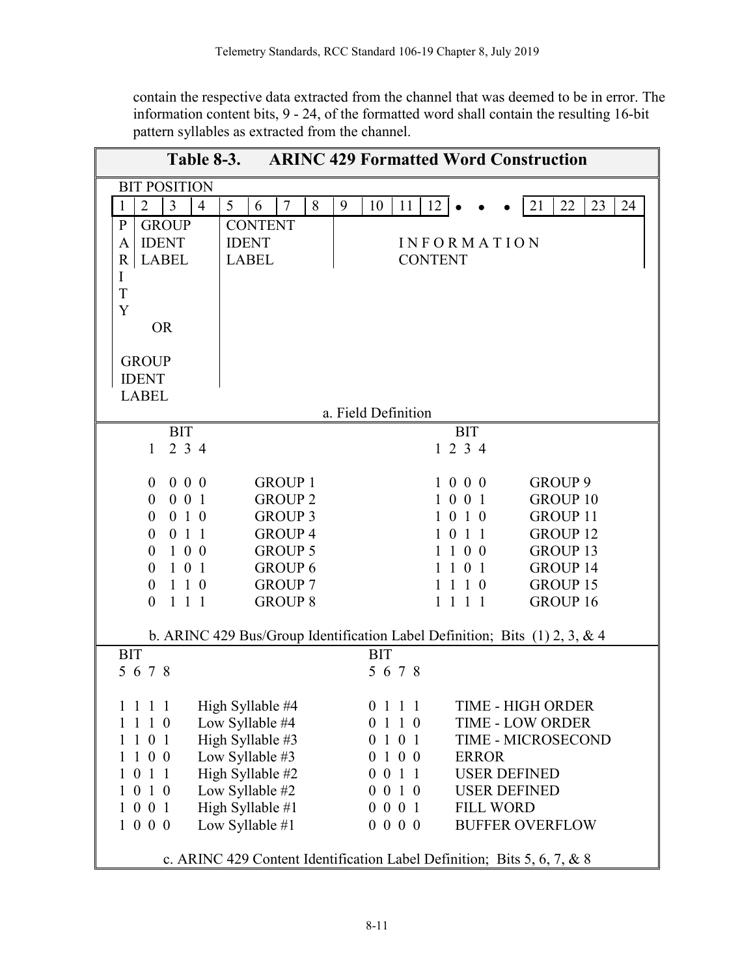contain the respective data extracted from the channel that was deemed to be in error. The information content bits, 9 - 24, of the formatted word shall contain the resulting 16-bit pattern syllables as extracted from the channel.

<span id="page-14-0"></span>

| Table 8-3. ARINC 429 Formatted Word Construction                        |                               |                                                                              |  |
|-------------------------------------------------------------------------|-------------------------------|------------------------------------------------------------------------------|--|
| <b>BIT POSITION</b>                                                     |                               |                                                                              |  |
| $\overline{3}$<br>$\overline{2}$<br>$\overline{4}$<br>1                 | 5<br>8<br>$\overline{7}$<br>6 | 22<br>23<br>9<br>10<br>11<br>12<br>21<br>24                                  |  |
| <b>GROUP</b><br>$\mathbf{P}$                                            | <b>CONTENT</b>                |                                                                              |  |
| <b>IDENT</b><br>A                                                       | <b>IDENT</b>                  | <b>INFORMATION</b>                                                           |  |
| <b>LABEL</b><br>R <sub>1</sub>                                          | <b>LABEL</b>                  | <b>CONTENT</b>                                                               |  |
| I                                                                       |                               |                                                                              |  |
| T                                                                       |                               |                                                                              |  |
| Y                                                                       |                               |                                                                              |  |
| <b>OR</b>                                                               |                               |                                                                              |  |
|                                                                         |                               |                                                                              |  |
| <b>GROUP</b>                                                            |                               |                                                                              |  |
| <b>IDENT</b>                                                            |                               |                                                                              |  |
| <b>LABEL</b>                                                            |                               |                                                                              |  |
|                                                                         |                               | a. Field Definition                                                          |  |
| <b>BIT</b>                                                              |                               | <b>BIT</b>                                                                   |  |
| 2 3 4<br>$\mathbf{1}$                                                   |                               | 1234                                                                         |  |
|                                                                         |                               |                                                                              |  |
| $0\,0\,0$<br>$\mathbf{0}$                                               | <b>GROUP 1</b>                | 1000<br>GROUP <sub>9</sub>                                                   |  |
| $0 \t0 \t1$<br>$\overline{0}$                                           | <b>GROUP 2</b>                | <b>GROUP 10</b><br>1 0 0 1                                                   |  |
| 010<br>$\overline{0}$                                                   | <b>GROUP 3</b>                | 1 0 1 0<br><b>GROUP 11</b>                                                   |  |
| 011<br>$\overline{0}$                                                   | <b>GROUP 4</b>                | 1 0 1 1<br><b>GROUP 12</b>                                                   |  |
| $\overline{0}$<br>$1\ 0\ 0$                                             | <b>GROUP 5</b>                | <b>GROUP 13</b><br>1 1 0 0                                                   |  |
| $1 \t0 \t1$<br>$\overline{0}$                                           | <b>GROUP 6</b>                | <b>GROUP 14</b><br>1 0 1<br>1                                                |  |
| $1\quad1\quad0$<br>$\overline{0}$                                       | <b>GROUP 7</b>                | <b>GROUP 15</b><br>1 1 0<br>1                                                |  |
| $1\quad1\quad1$<br>$\overline{0}$                                       | <b>GROUP 8</b>                | 1 1 1 1<br><b>GROUP 16</b>                                                   |  |
|                                                                         |                               |                                                                              |  |
|                                                                         |                               | b. ARINC 429 Bus/Group Identification Label Definition; Bits $(1)$ 2, 3, & 4 |  |
| <b>BIT</b>                                                              |                               | <b>BIT</b>                                                                   |  |
| 5 6 7 8                                                                 |                               | 5 6 7 8                                                                      |  |
|                                                                         |                               |                                                                              |  |
| 1 1 1 1                                                                 | High Syllable #4              | 0 1 1 1<br>TIME - HIGH ORDER                                                 |  |
| 1 1 0                                                                   | Low Syllable #4               | <b>TIME - LOW ORDER</b><br>0110                                              |  |
| 1 1 0 1                                                                 | High Syllable #3              | 0101<br><b>TIME - MICROSECOND</b>                                            |  |
| 1 1 0 0                                                                 | Low Syllable $#3$             | 0100<br><b>ERROR</b>                                                         |  |
| $1 \t0 \t1 \t1$                                                         | High Syllable #2              | 0 0 1 1<br><b>USER DEFINED</b>                                               |  |
| 1 0 1 0                                                                 | Low Syllable #2               | 0 0 1 0<br><b>USER DEFINED</b>                                               |  |
| 1 0 0 1                                                                 | High Syllable #1              | 0 0 0 1<br><b>FILL WORD</b>                                                  |  |
| 1 0 0 0                                                                 | Low Syllable #1               | <b>BUFFER OVERFLOW</b><br>$0\; 0\; 0\; 0$                                    |  |
| c. ARINC 429 Content Identification Label Definition; Bits 5, 6, 7, & 8 |                               |                                                                              |  |